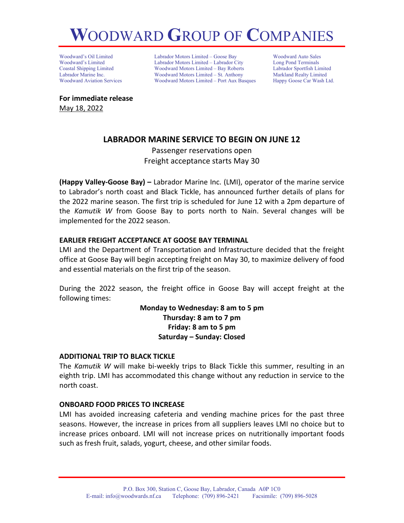# **W**OODWARD **G**ROUP OF **C**OMPANIES

Woodward's Oil Limited Labrador Motors Limited – Goose Bay Moodward Auto Sales<br>
Woodward's Limited – Labrador Motors Limited – Labrador City Long Pond Terminals Woodward's Limited Labrador Motors Limited – Labrador City Long Pond Terminals Woodward Motors Limited – Bay Roberts Labrador Marine Inc. **Woodward Motors Limited – St. Anthony** Markland Realty Limited Woodward Aviation Services Woodward Motors Limited – Port Aux Basques Happy Goose Car Wash Ltd.

**For immediate release** May 18, 2022

## **LABRADOR MARINE SERVICE TO BEGIN ON JUNE 12**

Passenger reservations open Freight acceptance starts May 30

**(Happy Valley-Goose Bay) –** Labrador Marine Inc. (LMI), operator of the marine service to Labrador's north coast and Black Tickle, has announced further details of plans for the 2022 marine season. The first trip is scheduled for June 12 with a 2pm departure of the *Kamutik W* from Goose Bay to ports north to Nain. Several changes will be implemented for the 2022 season.

## **EARLIER FREIGHT ACCEPTANCE AT GOOSE BAY TERMINAL**

LMI and the Department of Transportation and Infrastructure decided that the freight office at Goose Bay will begin accepting freight on May 30, to maximize delivery of food and essential materials on the first trip of the season.

During the 2022 season, the freight office in Goose Bay will accept freight at the following times:

> **Monday to Wednesday: 8 am to 5 pm Thursday: 8 am to 7 pm Friday: 8 am to 5 pm Saturday – Sunday: Closed**

## **ADDITIONAL TRIP TO BLACK TICKLE**

The *Kamutik W* will make bi-weekly trips to Black Tickle this summer, resulting in an eighth trip. LMI has accommodated this change without any reduction in service to the north coast.

## **ONBOARD FOOD PRICES TO INCREASE**

LMI has avoided increasing cafeteria and vending machine prices for the past three seasons. However, the increase in prices from all suppliers leaves LMI no choice but to increase prices onboard. LMI will not increase prices on nutritionally important foods such as fresh fruit, salads, yogurt, cheese, and other similar foods.